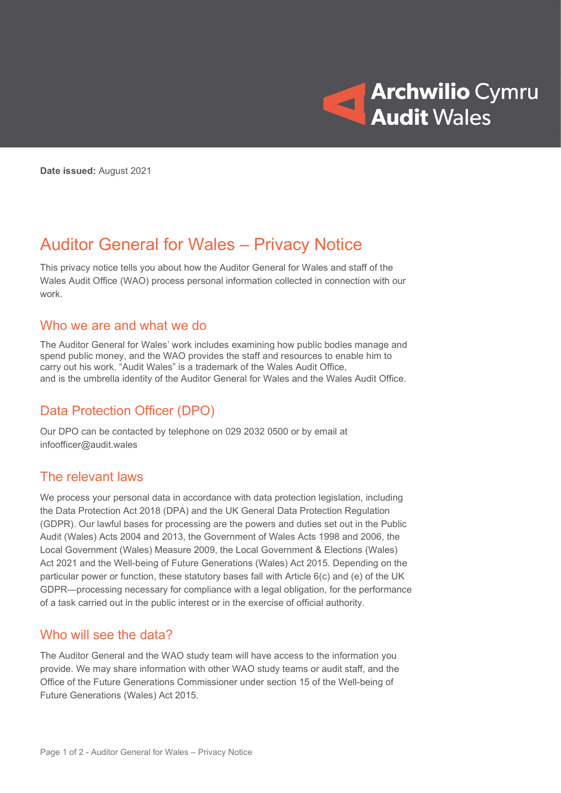

Date issued: August 2021

# Auditor General for Wales – Privacy Notice

This privacy notice tells you about how the Auditor General for Wales and staff of the Wales Audit Office (WAO) process personal information collected in connection with our work.

#### Who we are and what we do

The Auditor General for Wales' work includes examining how public bodies manage and spend public money, and the WAO provides the staff and resources to enable him to carry out his work. "Audit Wales" is a trademark of the Wales Audit Office, and is the umbrella identity of the Auditor General for Wales and the Wales Audit Office.

### Data Protection Officer (DPO)

Our DPO can be contacted by telephone on 029 2032 0500 or by email at infoofficer@audit.wales

#### The relevant laws

We process your personal data in accordance with data protection legislation, including the Data Protection Act 2018 (DPA) and the UK General Data Protection Regulation (GDPR). Our lawful bases for processing are the powers and duties set out in the Public Audit (Wales) Acts 2004 and 2013, the Government of Wales Acts 1998 and 2006, the Local Government (Wales) Measure 2009, the Local Government & Elections (Wales) Act 2021 and the Well-being of Future Generations (Wales) Act 2015. Depending on the particular power or function, these statutory bases fall with Article 6(c) and (e) of the UK GDPR—processing necessary for compliance with a legal obligation, for the performance of a task carried out in the public interest or in the exercise of official authority.

#### Who will see the data?

The Auditor General and the WAO study team will have access to the information you provide. We may share information with other WAO study teams or audit staff, and the Office of the Future Generations Commissioner under section 15 of the Well-being of Future Generations (Wales) Act 2015.